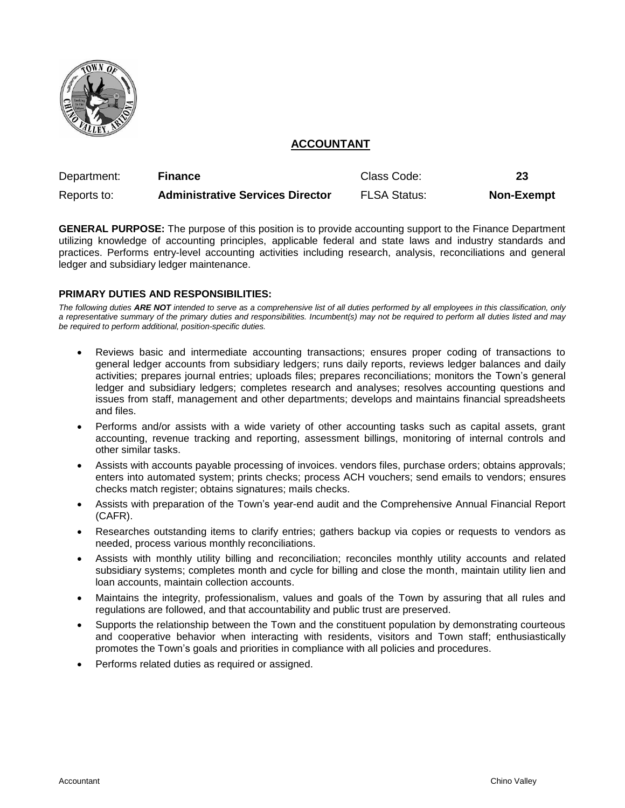

# **ACCOUNTANT**

| Department: | <b>Finance</b>                          | Class Code:         | 23                |
|-------------|-----------------------------------------|---------------------|-------------------|
| Reports to: | <b>Administrative Services Director</b> | <b>FLSA Status:</b> | <b>Non-Exempt</b> |

**GENERAL PURPOSE:** The purpose of this position is to provide accounting support to the Finance Department utilizing knowledge of accounting principles, applicable federal and state laws and industry standards and practices. Performs entry-level accounting activities including research, analysis, reconciliations and general ledger and subsidiary ledger maintenance.

# **PRIMARY DUTIES AND RESPONSIBILITIES:**

*The following duties ARE NOT intended to serve as a comprehensive list of all duties performed by all employees in this classification, only a representative summary of the primary duties and responsibilities. Incumbent(s) may not be required to perform all duties listed and may be required to perform additional, position-specific duties.*

- Reviews basic and intermediate accounting transactions; ensures proper coding of transactions to general ledger accounts from subsidiary ledgers; runs daily reports, reviews ledger balances and daily activities; prepares journal entries; uploads files; prepares reconciliations; monitors the Town's general ledger and subsidiary ledgers; completes research and analyses; resolves accounting questions and issues from staff, management and other departments; develops and maintains financial spreadsheets and files.
- Performs and/or assists with a wide variety of other accounting tasks such as capital assets, grant accounting, revenue tracking and reporting, assessment billings, monitoring of internal controls and other similar tasks.
- Assists with accounts payable processing of invoices. vendors files, purchase orders; obtains approvals; enters into automated system; prints checks; process ACH vouchers; send emails to vendors; ensures checks match register; obtains signatures; mails checks.
- Assists with preparation of the Town's year-end audit and the Comprehensive Annual Financial Report (CAFR).
- Researches outstanding items to clarify entries; gathers backup via copies or requests to vendors as needed, process various monthly reconciliations.
- Assists with monthly utility billing and reconciliation; reconciles monthly utility accounts and related subsidiary systems; completes month and cycle for billing and close the month, maintain utility lien and loan accounts, maintain collection accounts.
- Maintains the integrity, professionalism, values and goals of the Town by assuring that all rules and regulations are followed, and that accountability and public trust are preserved.
- Supports the relationship between the Town and the constituent population by demonstrating courteous and cooperative behavior when interacting with residents, visitors and Town staff; enthusiastically promotes the Town's goals and priorities in compliance with all policies and procedures.
- Performs related duties as required or assigned.